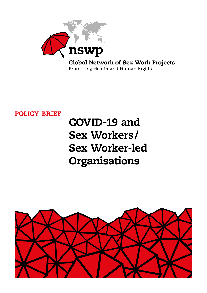

**Global Network of Sex Work Projects** Promoting Health and Human Rights

## POLICY BRIEF

# COVID-19 and Sex Workers/ Sex Worker-led Organisations

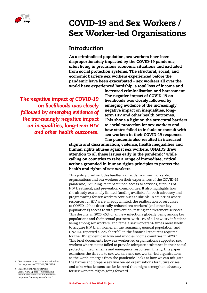

# COVID-19 and Sex Workers / Sex Worker-led Organisations

#### Introduction

As a criminalised population, sex workers have been disproportionately impacted by the COVID-19 pandemic, often living in precarious economic situations and excluded from social protection systems. The structural, social, and economic barriers sex workers experienced before the pandemic have been exacerbated – sex workers all over the world have experienced hardship, a total loss of income and

*The negative impact of COVID-19 on livelihoods was closely followed by emerging evidence of the increasingly negative impact on inequalities, long-term HIV and other health outcomes.*

increased criminalisation and harassment. The negative impact of COVID-19 on livelihoods was closely followed by emerging evidence of the increasingly negative impact on inequalities, longterm HIV and other health outcomes. This shone a light on the structural barriers to social protection for sex workers and how states failed to include or consult with sex workers in their COVID-19 responses. The pandemic also resulted in increased

stigma and discrimination, violence, health inequalities and human rights abuses against sex workers. UNAIDS drew attention to all these issues early in the pandemic $^{\rm 1}$  while calling on countries to take a range of immediate, critical actions grounded in human rights principles to protect the health and rights of sex workers.

This policy brief includes feedback directly from sex worker-led organisations and sex workers on their experiences of the COVID-19 pandemic, including its impact upon access to services, supplies of HIV treatment, and prevention commodities. It also highlights how the already extremely limited funding available for both advocacy and programming for sex workers continues to shrink. In countries where resources for HIV were already limited, the reallocation of resources to COVID-19 has drastically reduced sex workers' (and other key populations') access to vital prevention, testing and treatment services. This despite, in 2020, 65% of all new infections globally being among key populations and their sexual partners, with 11% of all new HIV infections being among sex workers, and female sex workers 26 times more likely to acquire HIV than women in the remaining general population, and UNAIDS reported a 29% shortfall in the financial resources required for the HIV epidemic in low- and middle-income countries in 2020.<sup>2</sup> This brief documents how sex worker-led organisations supported sex workers where states failed to provide adequate assistance in their social protection mechanisms and emergency responses. Finally, this paper examines the threats to sex workers and sex worker-led organisations as the world emerges from the pandemic, looks at how we can mitigate the harms and prepare sex worker-led organisations for future crises, and asks what lessons can be learned that might strengthen advocacy for sex workers' rights going forward.

- 1 "[Sex workers must not be left behind in](https://www.unaids.org/en/resources/presscentre/pressreleaseandstatementarchive/2020/april/20200408_sex-workers-covid-19)  [the response to COVID-19](https://www.unaids.org/en/resources/presscentre/pressreleaseandstatementarchive/2020/april/20200408_sex-workers-covid-19)," UNAIDS.
- 2 UNAIDS, 2021, ["2021 UNAIDS](https://www.unaids.org/en/resources/documents/2021/2021-global-aids-update)  [Global AIDS Update — Confronting](https://www.unaids.org/en/resources/documents/2021/2021-global-aids-update)  [inequalities — Lessons for pandemic](https://www.unaids.org/en/resources/documents/2021/2021-global-aids-update)  [responses from 40 years of AIDS."](https://www.unaids.org/en/resources/documents/2021/2021-global-aids-update)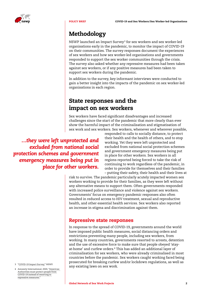

### Methodology

NSWP launched an Impact Survey3 for sex workers and sex worker-led organisations early in the pandemic, to monitor the impact of COVID-19 on their communities. The survey responses document the experiences of sex workers and how sex worker-led organisations and governments responded to support the sex worker communities through the crisis. The survey also asked whether any repressive measures had been taken against sex workers, or if any positive measures had been taken to support sex workers during the pandemic.

In addition to the survey, key informant interviews were conducted to gain a better insight into the impacts of the pandemic on sex worker-led organisations in each region.

### State responses and the impact on sex workers

Sex workers have faced significant disadvantages and increased challenges since the start of the pandemic that more clearly than ever show the harmful impact of the criminalisation and stigmatisation of sex work and sex workers. Sex workers, whenever and wherever possible,

*…they were left unprotected and excluded from national social protection schemes and government emergency measures being put in place for other workers.* responded to calls to socially distance, to protect their health and the health of others, and to stop working. Yet they were left unprotected and excluded from national social protection schemes and government emergency measures being put in place for other workers. Sex workers in all regions reported being forced to take the risk of continuing to work regardless of the pandemic, in order to provide for themselves and their families – putting their safety, their health and their lives at

risk to survive. The pandemic particularly acutely impacted women sex workers working to provide for their families, as they were left without any alternative means to support them. Often governments responded with increased police surveillance and violence against sex workers. Governments' focus on emergency pandemic responses also often resulted in reduced access to HIV treatment, sexual and reproductive health, and other essential health services. Sex workers also reported an increase in stigma and discrimination against them.

#### Repressive state responses

In response to the spread of COVID-19, governments around the world have imposed public health measures, social distancing orders and restrictions preventing many people, including sex workers, from working. In many countries, governments resorted to arrests, detention and the use of excessive force to make sure that people obeyed 'stayat-home' and curfew orders.<sup>4</sup> This has added an additional layer of criminalisation for sex workers, who were already criminalised in most countries before the pandemic. Sex workers caught working faced being prosecuted for breaking curfew and/or lockdown regulations, as well as any existing laws on sex work.

- 
- 4 Amnesty International, 2020, ["Americas:](https://www.amnesty.org/en/latest/news/2020/05/americas-authorities-must-protect-people-covid19-repressive-measures/)  [Authorities must protect people from](https://www.amnesty.org/en/latest/news/2020/05/americas-authorities-must-protect-people-covid19-repressive-measures/)  [COVID-19 instead of resorting to](https://www.amnesty.org/en/latest/news/2020/05/americas-authorities-must-protect-people-covid19-repressive-measures/)  [repressive measures."](https://www.amnesty.org/en/latest/news/2020/05/americas-authorities-must-protect-people-covid19-repressive-measures/)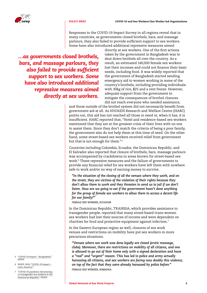

Responses to the COVID-19 Impact Survey in all regions reveal that in many countries, as governments closed brothels, bars, and massage parlours, they also failed to provide sufficient support to sex workers. Some have also introduced additional repressive measures aimed

*…as governments closed brothels, bars, and massage parlours, they also failed to provide sufficient support to sex workers. Some have also introduced additional repressive measures aimed directly at sex workers.*

directly at sex workers. One of the first actions taken by the government in Bangladesh was to shut down brothels all over the country. As a result, an estimated 140,000 female sex workers lost their incomes and could not finance their basic needs, including food. It was widely reported that the government of Bangladesh started sending emergency aid to women working in some of the country's brothels, including providing individuals with 30kg of rice, \$25 and a rent freeze. However, adequate support from the government to mitigate the consequences of brothel closures did not reach everyone who needed assistance,

and those outside of the brothel system did not necessarily benefit from government aid at all. As HIV/AIDS Research and Welfare Centre (HARC) points out, this aid has not reached all those in need or, when it has, it is insufficient. HARC reported that, "Hotel and residence-based sex workers mentioned that they are at the greatest crisis of their lives with no one to assist them. Since they don't match the criteria of being a poor family, the government also do not help them at this time of need. On the other hand, some street-based sex workers received relief from government but that is not enough for them."<sup>5</sup>

Countries including Colombia, Ecuador, the Dominican Republic, and El Salvador also reported that closure of brothels, bars, massage parlours was accompanied by crackdowns in areas known for street-based sex work.<sup>6</sup> These repressive measures and the failure of governments to provide any financial relief for sex workers have left them with nowhere safe to work and/or no way of earning money to survive.

*"In the situation of the closing of all the venues where they work, and on the street, they are victims of the violation of their rights because they don't allow them to work and they threaten to send us to jail if we don't listen. How are we going to eat if the government hasn't done anything for the group of female sex workers to allow them to access a decent life for our family?"*

*FEMALE SEX WORKER, ECUADOR*

In the Dominican Republic, TRANSSA, which provides assistance to transgender people, reported that many street-based trans-women sex workers had lost their sources of income and were dependent on charities for food and protective equipment against infection.<sup>7</sup>

In the Eastern European region as well, closures of sex work venues and restrictions on mobility have put sex workers in more precarious situations.

*"Venues where sex work was done legally are closed (erotic massage, clubs). Moreover, there are restrictions on mobility of all citizens, and one is allowed to go out of their home only with a signed declaration and have a "real" and "urgent" reason. This has led to police and army actually harassing all citizens, and sex workers are facing now doubly this violence, on top of the fact that they were already harassed by police before." FEMALE SEX WORKER, ROMANIA*

- 5 "[COVID-19 Impact Bangladesh,](https://www.nswp.org/news/covid-19-impact-bangladesh)" NSWP.
- 6 NSWP, 2020, "[COVID-19 Impact](https://www.nswp.org/resource/nswp-global-and-regional-reports/covid-19-impact-latin-america)  [Latin America."](https://www.nswp.org/resource/nswp-global-and-regional-reports/covid-19-impact-latin-america)
- 7 "[COVID-19 pandemic devastating](https://www.nswp.org/news/covid-19-pandemic-devastating-transgender-sex-workers-the-dominican-republic)  [to transgender sex workers in the](https://www.nswp.org/news/covid-19-pandemic-devastating-transgender-sex-workers-the-dominican-republic)  [Dominican Republic,"](https://www.nswp.org/news/covid-19-pandemic-devastating-transgender-sex-workers-the-dominican-republic) NSWP.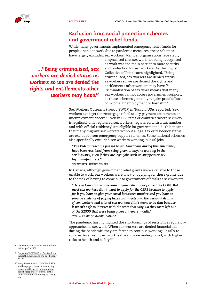

#### Exclusion from social protection schemes and government relief funds

While many governments implemented emergency relief funds for people unable to work due to pandemic measures, these schemes have largely excluded sex workers. Member organisations repeatedly

*…"Being criminalised, sex workers are denied status as workers so we are denied the rights and entitlements other workers may have."*

emphasised that sex work not being recognised as work was the main barrier to more security and protection for sex workers. As the English Collective of Prostitutes highlighted, "Being criminalised, sex workers are denied status as workers so we are denied the rights and entitlements other workers may have." <sup>8</sup> Criminalisation of sex work means that many sex workers cannot access government support, as these schemes generally require proof of loss of income, unemployment or hardship.9

Sex Workers Outreach Project (SWOP) in Tuscon, USA, reported, "sex workers can't get rent/mortgage relief, utility payment abatements or unemployment checks." Even in US States or countries where sex work is legalised, only registered sex workers (registered with a tax number and with official residency) are eligible for government aid. This means that many migrant sex workers without a legal tax or residency status are excluded from emergency support schemes. Some national schemes also specifically excluded sex workers working in legal jobs.

*"The Federal relief bill passed to aid Americans during this emergency have been restricted from being given to anyone working in the sex industry, even if they are legal jobs such as strippers or sex toy manufacturers."*

*SEX WORKER, UNITED STATES*

In Canada, although government relief grants were available to those unable to work, sex workers were wary of applying for these grants due to the risk of having to come out to government officials as sex workers.

*"Here in Canada the government gave relief money called the CERB. But most sex workers didn't want to apply for the CERB because to apply for it you have to give your social insurance number and you have to provide evidence of paying taxes and it gets into the personal details of sex workers and a lot of sex workers didn't want to do that because it wasn't safe to interact with the state that way. So they were left out of the \$2000 that were being given out every month." STELLA, L'AMIE DE MAIMIE, CANADA*

The pandemic has highlighted the shortcomings of restrictive regulatory approaches to sex work. When sex workers are denied financial aid during the pandemic, they are forced to continue working illegally to survive. As a result, sex work is driven more underground, with higher risks to health and safety.10

- 8 "[Impact of COVID-19 on Sex Workers](https://www.nswp.org/news/impact-covid-19-sex-workers-europe)  [in Europe,"](https://www.nswp.org/news/impact-covid-19-sex-workers-europe) NSWP.
- 9 "[Impact of COVID-19 on Sex Workers](https://www.nswp.org/news/impact-covid-19-sex-workers-north-america-and-the-caribbean)  [in North America and the Caribbean,](https://www.nswp.org/news/impact-covid-19-sex-workers-north-america-and-the-caribbean)' NSWP.
- 10 Jenny Iversen, et al., "[COVID-19, HIV](https://onlinelibrary.wiley.com/doi/10.1002/jia2.25632)  [and key populations: cross-cutting](https://onlinelibrary.wiley.com/doi/10.1002/jia2.25632)  [issues and the need for population](https://onlinelibrary.wiley.com/doi/10.1002/jia2.25632)[specific responses,"](https://onlinelibrary.wiley.com/doi/10.1002/jia2.25632) Journal of the International AIDS Society 23 (2020): 1-6.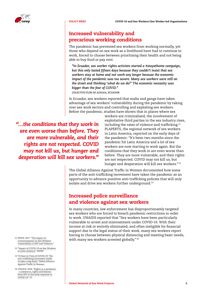

#### Increased vulnerability and precarious working conditions

The pandemic has prevented sex workers from working normally, yet those who depend on sex work as a livelihood have had to continue to work, forced to choose between prioritising their health and not being able to buy food or pay rent.

*"In Ecuador, sex worker rights activists started a #stayathome campaign, but this only lasted fifteen days because they couldn't insist that sex workers stay at home and not work any longer because the economic impact of the pandemic was too severe. Many sex workers were still on the street and thinking 'what do we do?' The economic necessity was bigger than the fear of COVID."*

*COLECTIVO FLOR DE AZÁLEA, ECUADOR*

In Ecuador, sex workers reported that mafia and gangs have taken advantage of sex workers' vulnerability during the pandemic by taking over sex work sectors and controlling and exploiting sex workers. Before the pandemic, studies have shown that in places where sex

*"…the conditions that they work in are even worse than before. They are more vulnerable, and their rights are not respected. COVID may not kill us, but hunger and desperation will kill sex workers."*

workers are criminalised, the involvement of exploitative third parties in the sex industry rises, including the rates of violence and trafficking.<sup>11</sup> PLAPERTS, the regional network of sex workers in Latin America, reported on the early days of the pandemic: "It's been two months since the pandemic hit Latin America and a lot of sex workers are now starting to work again. But the conditions that they work in are even worse than before. They are more vulnerable, and their rights are not respected. COVID may not kill us, but hunger and desperation will kill sex workers."12

The Global Alliance Against Traffic in Women documented how some parts of the anti-trafficking movement have taken the pandemic as an opportunity to advance punitive anti-trafficking policies that will only isolate and drive sex workers further underground.<sup>13</sup>

#### Increased police surveillance and violence against sex workers

In many countries, law enforcement has disproportionately targeted sex workers who are forced to breach pandemic restrictions in order to work. UNAIDS reported that "Sex workers have been particularly vulnerable to arrest and mistreatment under COVID-19. With their income at risk or entirely eliminated, and often ineligible for financial support due to the legal status of their work, many sex workers report having to choose between physical distancing and meeting basic needs, with many sex workers arrested globally."<sup>14</sup>

- 11 NSWP, 2017, ["The Impact of](https://www.nswp.org/resource/nswp-policy-briefs/the-impact-criminalisation-sex-workers-vulnerability-hiv-and-violence)  [Criminalisation on Sex Workers'](https://www.nswp.org/resource/nswp-policy-briefs/the-impact-criminalisation-sex-workers-vulnerability-hiv-and-violence)  [Vulnerability to HIV and Violence.](https://www.nswp.org/resource/nswp-policy-briefs/the-impact-criminalisation-sex-workers-vulnerability-hiv-and-violence)
- 12 "[Impact of COVID-19 on Sex Workers](https://www.nswp.org/news/impact-covid-19-sex-workers-latin-america)  [in Latin America,](https://www.nswp.org/news/impact-covid-19-sex-workers-latin-america)" NSWP.
- 13 ["A Feast in Time of COVID-19: The](https://gaatw.org/events-and-news-old/68-gaatw-news/1024-a-feast-in-time-of-covid-19-the-anti-trafficking-movement-needs-to-take-a-step-back)  anti-trafficking movement needs<br>[to take a step back,"](https://gaatw.org/events-and-news-old/68-gaatw-news/1024-a-feast-in-time-of-covid-19-the-anti-trafficking-movement-needs-to-take-a-step-back) Global Alliance Against Traffic in Women.
- 14 UNAIDS, 2020, ["Rights in a pandemic](https://www.unaids.org/en/resources/documents/2020/rights-in-a-pandemic)  [– Lockdowns, rights and lessons](https://www.unaids.org/en/resources/documents/2020/rights-in-a-pandemic)  [from HIV in the early response to](https://www.unaids.org/en/resources/documents/2020/rights-in-a-pandemic)  [COVID-19,](https://www.unaids.org/en/resources/documents/2020/rights-in-a-pandemic)" 22.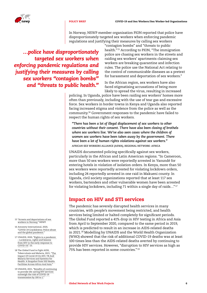



In Norway, NSWP member organisation PION reported that police have disproportionately targeted sex workers when enforcing pandemic regulations and justifying their measures by calling sex workers

*…police have disproportionately targeted sex workers when enforcing pandemic regulations and justifying their measures by calling sex workers "contagion bombs" and "threats to public health."*

"contagion bombs" and "threats to public health."15 According to PION, "The immigration police are chasing sex workers in the streets and raiding sex workers' apartments claiming sex workers are breaking quarantine and infection rules. The police use the National Act relating to the control of communicable diseases as a pretext for harassment and deportation of sex workers."

In the African region, sex workers have also faced stigmatising accusations of being more likely to spread the virus, resulting in increased

policing. In Uganda, police have been raiding sex workers' homes more often than previously, including with the use of tear gas and excessive force. Sex workers in border towns in Kenya and Uganda also reported facing increased stigma and violence from the police as well as the community.16 Government responses to the pandemic have failed to respect the human rights of sex workers.

*"There has been a lot of illegal displacement of sex workers to other countries without their consent. There have also been closing of brothels where sex workers live. We've also seen cases where the children of women sex workers have been taken away by the government. There have been a lot of human rights violations against sex workers." AFRICAN SEX WORKERS ALLIANCE (ASWA), REGIONAL NETWORK: AFRICA*

UNAIDS documented policing specifically against sex workers, particularly in the African and Latin American regions. "In Cameroon, more than 50 sex workers were reportedly arrested in Yaoundé for entering hotels in violation of isolation orders. In Kenya, more than 50 sex workers were reportedly arrested for violating lockdown orders, including 24 reportedly arrested in one raid in Makueni county. In Uganda, civil society organizations reported that at least 117 sex workers, bartenders and other vulnerable women have been arrested for violating lockdown, including 71 within a single day of raids…" <sup>17</sup>

#### Impact on HIV and STI services

The pandemic has severely disrupted health services in many countries, with people's movement being restricted, and health services being limited or halted completely for significant periods. The Global Fund reported a 41% drop in HIV testing in Africa and Asia from April to September 2020, compared to the same period in 2019, which is predicted to result in an increase in AIDS-related deaths in 2021.18 Modelling by UNAIDS and the World Health Organization (WHO) showed that the risk of additional COVID-19 deaths was at least 100 times less than the AIDS-related deaths averted by continuing to provide HIV services. However, "disruption to HIV services as high as 75% has been reported in some countries." <sup>19</sup>

- 15 ["Arrests and deportations of sex](https://www.nswp.org/news/arrests-and-deportations-sex-workers-norway)  [workers in Norway,"](https://www.nswp.org/news/arrests-and-deportations-sex-workers-norway) NSWP.
- 16 Amnesty International, 2020, "[COVID-19 Crackdowns: Police abuse](https://www.amnesty.org/en/documents/act30/3443/2020/en/)  [and the global pandemic.](https://www.amnesty.org/en/documents/act30/3443/2020/en/)
- 17 UNAIDS, 2020, ["Rights in a pandemic](https://www.unaids.org/en/resources/documents/2020/rights-in-a-pandemic)  [– Lockdowns, rights and lessons](https://www.unaids.org/en/resources/documents/2020/rights-in-a-pandemic)  [from HIV in the early response to](https://www.unaids.org/en/resources/documents/2020/rights-in-a-pandemic)  COVID-19" 23
- 18 The Global Fund to Fight AIDS, Tuberculosis and Malaria, 2021, ["The](https://www.theglobalfund.org/en/news/2021-04-13-new-global-fund-report-shows-massive-disruption-to-health-care-caused-by-covid-19-in-africa-and-asia/)  [Impact Of Covid-19 On HIV, TB And](https://www.theglobalfund.org/en/news/2021-04-13-new-global-fund-report-shows-massive-disruption-to-health-care-caused-by-covid-19-in-africa-and-asia/)  [Malaria Services and Systems for](https://www.theglobalfund.org/en/news/2021-04-13-new-global-fund-report-shows-massive-disruption-to-health-care-caused-by-covid-19-in-africa-and-asia/)  [Health: A Snapshot from 502 Health](https://www.theglobalfund.org/en/news/2021-04-13-new-global-fund-report-shows-massive-disruption-to-health-care-caused-by-covid-19-in-africa-and-asia/)  [Facilities Across Africa And Asia."](https://www.theglobalfund.org/en/news/2021-04-13-new-global-fund-report-shows-massive-disruption-to-health-care-caused-by-covid-19-in-africa-and-asia/)
- 19 UNAIDS, 2021, ["Benefits of continuing](https://www.unaids.org/en/resources/presscentre/pressreleaseandstatementarchive/2021/april/20210413_HIV-services-outweigh-risk-of-COVID-19-transmission) [to provide life-saving HIV services](https://www.unaids.org/en/resources/presscentre/pressreleaseandstatementarchive/2021/april/20210413_HIV-services-outweigh-risk-of-COVID-19-transmission)  [outweigh the risk of COVID-19](https://www.unaids.org/en/resources/presscentre/pressreleaseandstatementarchive/2021/april/20210413_HIV-services-outweigh-risk-of-COVID-19-transmission)  transmission by 100 to 1.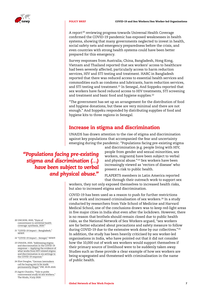

A report<sup>20</sup> reviewing progress towards Universal Health Coverage confirmed the COVID-19 pandemic has exposed weaknesses in health systems, showing that many governments neglected to invest in health, social safety nets and emergency preparedness before the crisis, and even countries with strong health systems could have been better prepared for this emergency.

Survey responses from Australia, China, Bangladesh, Hong Kong, Vietnam and Thailand reported that sex workers' access to healthcare had been severely affected, particularly access to harm reduction services, HIV and STI testing and treatment. HARC in Bangladesh reported that there was reduced access to essential health services and commodities such as condoms and lubricants, harm reduction services, and STI testing and treatment.<sup>21</sup> In Senegal, And Soppeku reported that sex workers have faced reduced access to HIV treatments, STI screening and treatment and basic food and hygiene supplies.<sup>22</sup>

"The government has set up an arrangement for the distribution of food and hygiene donations, but these are very minimal and there are not enough." And Soppeku responded by distributing supplies of food and hygiene kits to three regions in Senegal.

#### Increase in stigma and discrimination

UNAIDS has drawn attention to the rise of stigma and discrimination against key populations that accompanied the fear and uncertainty emerging during the pandemic. "Populations facing pre-existing stigma

#### *"Populations facing pre-existing stigma and discrimination (…) have been subject to verbal and physical abuse."*

and discrimination (e.g. people living with HIV, people from gender and sexual minorities, sex workers, migrants) have been subject to verbal and physical abuse."<sup>23</sup> Sex workers have been increasingly viewed as 'vectors of disease' who present a risk to public health.

PLAPERTS members in Latin America reported that through their outreach work to support sex

workers, they not only exposed themselves to increased health risks, but also to increased stigma and discrimination.

COVID-19 has been used as a reason to push for further restrictions of sex work and increased criminalisation of sex workers.<sup>24</sup> In a study conducted by researchers from Yale School of Medicine and Harvard Medical School, one of the conclusions drawn was to keep red-light areas in five major cities in India shut even after the lockdown. However, there is no reason that brothels should remain closed due to public health risks, as the National Network of Sex Workers argued, "sex workers are far better educated about precautions and safety measure to follow during COVID-19 due to the extensive work done by our collectives."<sup>25</sup> In addition, the study has been heavily criticised by sex worker-led organisations in India, who have pointed out that it did not consider how the 10,000 out of work sex workers would support themselves if their primary source of livelihood were to be suddenly taken away. Studies such as these provide a clear example of how sex workers are being scapegoated and threatened with criminalisation in the name of public health.

- 20 UHC2030, 2020, "[State of](https://www.uhc2030.org/blog-news-events/uhc2030-news/state-of-commitment-to-universal-health-coverage-synthesis-2020-555434/)  [commitment to universal health](https://www.uhc2030.org/blog-news-events/uhc2030-news/state-of-commitment-to-universal-health-coverage-synthesis-2020-555434/)  [coverage: synthesis, 2020."](https://www.uhc2030.org/blog-news-events/uhc2030-news/state-of-commitment-to-universal-health-coverage-synthesis-2020-555434/)
- 21 "[COVID-19 Impact Bangladesh,](https://www.nswp.org/news/covid-19-impact-bangladesh)" NSWP.
- 22 "[COVID-19 Impact Senegal,"](https://www.nswp.org/news/covid-19-impact-senegal) NSWP.
- 23 UNAIDS, 2020, ["Addressing stigma](https://genderandaids.unwomen.org/en/resources/2020/10/addressing-stigma-and-discrimination-in-the-covid-19-response)  [and discrimination in the COVID-19](https://genderandaids.unwomen.org/en/resources/2020/10/addressing-stigma-and-discrimination-in-the-covid-19-response)  [response — Applying the evidence of](https://genderandaids.unwomen.org/en/resources/2020/10/addressing-stigma-and-discrimination-in-the-covid-19-response)  [what works from HIV-related stigma](https://genderandaids.unwomen.org/en/resources/2020/10/addressing-stigma-and-discrimination-in-the-covid-19-response)  [and discrimination in six settings to](https://genderandaids.unwomen.org/en/resources/2020/10/addressing-stigma-and-discrimination-in-the-covid-19-response)  [the COVID-19 response.](https://genderandaids.unwomen.org/en/resources/2020/10/addressing-stigma-and-discrimination-in-the-covid-19-response)"
- 24 Eliot Douglas, "[German lawmakers](https://www.dw.com/en/german-lawmakers-call-for-buying-sex-to-be-made-permanently-illegal/a-53504221)  [call for buying sex to be made](https://www.dw.com/en/german-lawmakers-call-for-buying-sex-to-be-made-permanently-illegal/a-53504221)  [permanently illegal,](https://www.dw.com/en/german-lawmakers-call-for-buying-sex-to-be-made-permanently-illegal/a-53504221)" DW, 20.05.2020.
- 25 Jagriti Chandra, "[Yale to probe](https://www.thehindu.com/news/national/yale-to-probe-controversial-study-on-sex-workers/article32035565.ece)  [controversial study on sex workers,"](https://www.thehindu.com/news/national/yale-to-probe-controversial-study-on-sex-workers/article32035565.ece) The Hindu, 9 July 2020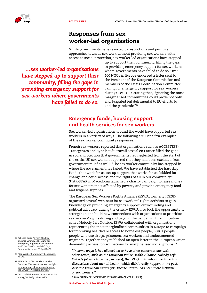

#### Responses from sex worker-led organisations

While governments have resorted to restrictions and punitive approaches towards sex work without providing sex workers with access to social protection, sex worker-led organisations have stepped

*…sex worker-led organisations have stepped up to support their community, filling the gaps in providing emergency support for sex workers where governments have failed to do so.*

up to support their community, filling the gaps in providing emergency support for sex workers where governments have failed to do so. Over 100 NGOs in Europe endorsed a letter sent to the President of the European Commission and members of the Crisis Coordination Committee calling for emergency support for sex workers during COVID-19, stating that, "ignoring the most marginalised communities could prove not only short-sighted but detrimental to EU efforts to end the pandemic." <sup>26</sup>

#### Emergency funds, housing support and health services for sex workers

Sex worker-led organisations around the world have supported sex workers in a variety of ways. The following are just a few examples of the sex worker community responses.<sup>27</sup>

French sex workers reported that organisations such as ACCEPTESS-Transgenres and Syndicat du travail sexual en France filled the gaps in social protection that governments had neglected from the start of the crisis. UK sex workers reported that they had been excluded from government relief as well: "The sex worker community has stepped in where the government has failed. We have established the hardship funds that work for us, set up support that works for us, lobbied for change and equal access and the rights of all in our community." STAR-STAR in Macedonia launched a charity campaign to raise money for sex workers most affected by poverty and provide emergency food and hygiene supplies.

The European Sex Workers Rights Alliance (ESWA, formerly ICRSE) organised several webinars for sex workers' rights activists to gain knowledge on providing emergency support, crowdfunding and political advocacy during the crisis.28 ESWA also took the opportunity to strengthen and build new connections with organisations to prioritise sex workers' rights during and beyond the pandemic. In an initiative called Nobody Left Outside, ESWA collaborated with organisations representing the most marginalised communities in Europe to campaign for improving healthcare access to homeless people, LGBTI people, people who use drugs, prisoners, sex workers and undocumented migrants. Together, they published an open letter to the European Union demanding access to vaccinations for marginalised social groups.29

*"In some ways it has allowed us to have other conversations with other actors, such as the European Public Health Alliance, Nobody Left Outside (of which we are partners), the WHO, with whom we have had discussions about mental health, which didn't really happen in the past. Also the European Centre for Disease Control has been more inclusive of sex workers."*

*ESWA (REGIONAL NETWORK: EUROPE AND CENTRAL ASIA)*

- 26 Rebecca Kelly, ["Over 100 NGOs](https://gcn.ie/over-100-european-ngos-endorse-a-statement-calling-for-emergency-support-to-sex-workers-amid-the-covid-19-crisis/)  [endorse a statement calling for](https://gcn.ie/over-100-european-ngos-endorse-a-statement-calling-for-emergency-support-to-sex-workers-amid-the-covid-19-crisis/)  [emergency support to sex workers](https://gcn.ie/over-100-european-ngos-endorse-a-statement-calling-for-emergency-support-to-sex-workers-amid-the-covid-19-crisis/)  [amid the COVID-19 crisis,](https://gcn.ie/over-100-european-ngos-endorse-a-statement-calling-for-emergency-support-to-sex-workers-amid-the-covid-19-crisis/)" Gay Community News, 28 April 2020.
- 27 "[Sex Worker Community Responses,"](https://www.nswp.org/page/sex-worker-community-responses) NSWP.
- 28 ESWA, 2021, "[Sex workers on the](https://www.eswalliance.org/sex_workers_on_the_frontlines)  [frontline: The role of sex worker rights](https://www.eswalliance.org/sex_workers_on_the_frontlines)  [groups in providing support during](https://www.eswalliance.org/sex_workers_on_the_frontlines)  [the COVID-19 crisis in Europe."](https://www.eswalliance.org/sex_workers_on_the_frontlines)
- 29 "[NLO publishes open letter on vaccine](https://nobodyleftoutside.eu/nlo-publishes-open-letter-on-vaccine-equity/)  [equity,](https://nobodyleftoutside.eu/nlo-publishes-open-letter-on-vaccine-equity/)" Nobody Left Outside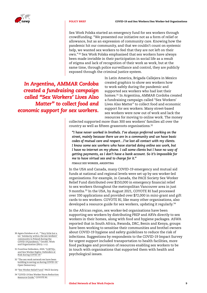

Sex Work Polska started an emergency fund for sex workers through crowdfunding. "We presented our initiative not as a form of relief or allowance, but as an expression of community care. Knowing how the pandemic hit our community, and that we couldn't count on systemic help, we wanted sex workers to feel that they are not left on their own."<sup>30</sup> Sex Work Polska emphasised that sex workers have always been made invisible in their participation in social life as a result of stigma and lack of recognition of their work as work, but at the same time, through police surveillance and control, they are publicly exposed through the criminal justice system.

*In Argentina, AMMAR Cordoba created a fundraising campaign called "Sex Workers' Lives Also Matter" to collect food and economic support for sex workers.*

In Latin America, Brigada Callejera in Mexico created graphics to show sex workers how to work safely during the pandemic and supported sex workers who had lost their homes.31 In Argentina, AMMAR Cordoba created a fundraising campaign called "Sex Workers' Lives Also Matter" to collect food and economic support for sex workers. Many street-based sex workers were now out of work and lack the resources for moving to online work. The money

collected supported more than 300 sex workers' families all over the country as well as fifteen grassroots organisations.<sup>32</sup>

*"I have never worked in brothels. I've always preferred working on the street, mainly because there we are in a community and we have basic codes of mutual care and respect…I've lost all contact with my clients. I know some sex workers who have started doing online sex work, but I have no internet on my phone. I call some clients but I have no way of getting payments, as I don't have a bank account. So it's impossible for me to have virtual sex and to charge for it."*

*FEMALE SEX WORKER, ARGENTINA*

In the USA and Canada, many COVID-19 emergency and mutual aid funds at national and regional levels were set up by sex worker-led organisations. For example, in Canada, the PACE Society Sex Worker Relief Fund distributed over \$150,000 in emergency financial relief to sex workers throughout the metropolitan Vancouver area in just 9 months.33 In the USA, by August 2021, COYOTE RI had processed over 330 applications and provided over \$72,000 in mini-grant and gift cards to sex workers. COYOTE RI, like many other organisations, also developed a resource guide for sex workers, updating it regularly.<sup>34</sup>

In the African region, sex worker-led organisations have been supporting sex workers by distributing PREP and ARVs directly to sex workers in their homes, along with food and hygiene packages. ASWA reported that in South Africa, Rwanda, DRC, Benin and Kenya, groups have been working to sensitise their communities and brothel owners about COVID-19 hygiene and safety guidelines to reduce the risk of infections. Suggestions by respondents to the COVID-19 Impact Survey for urgent support included transportation to health facilities, more food packages and provision of resources enabling sex workers to be in touch with organisations that supported them with health and psychological issues.

- 30 Agata Dziuban et al., "['Very little but a](https://onlinelibrary.wiley.com/doi/full/10.1111/gwao.12677)  [lot.' Solidarity within the sex workers'](https://onlinelibrary.wiley.com/doi/full/10.1111/gwao.12677)  [community in Poland during the](https://onlinelibrary.wiley.com/doi/full/10.1111/gwao.12677)  [COVID-19 pandemic,"](https://onlinelibrary.wiley.com/doi/full/10.1111/gwao.12677) Gender, Work and Organization (2021): 1-12.
- 31 Frontline Defenders, 2020, ["LGBTIQ+](https://www.frontlinedefenders.org/en/resource-publication/report-lgbtiq-and-sex-worker-rights-defenders-risk-during-covid-19)  [and Sex Worker Rights: Defenders at](https://www.frontlinedefenders.org/en/resource-publication/report-lgbtiq-and-sex-worker-rights-defenders-risk-during-covid-19)  [Risk during COVID-19."](https://www.frontlinedefenders.org/en/resource-publication/report-lgbtiq-and-sex-worker-rights-defenders-risk-during-covid-19)
- 32 "[The sex work network we have been](https://www.opendemocracy.net/en/5050/sex-work-network-we-have-been-building-saving-us-during-covid-19/)  [building is saving us during COVID-19,](https://www.opendemocracy.net/en/5050/sex-work-network-we-have-been-building-saving-us-during-covid-19/)" Open Democracy.
- 33 "[Sex Worker Relief Fund,"](https://www.pace-society.org/relief/) PACE Society.
- 34 "[COVID-19 Sex Worker Harm Reduction](https://coyoteri.org/wp/coyote-ri-covid-sex-worker-harm-reduction-resource-guide/)  [Resource Guide,"](https://coyoteri.org/wp/coyote-ri-covid-sex-worker-harm-reduction-resource-guide/) COYOTE RI.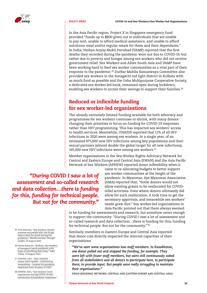

In the Asia Pacific region, Project X in Singapore emergency fund provided "funds up to \$800 given out to individuals that are unable to pay rent, unable to afford medical assistance, and unable to afford nutritious meal and/or regular meals for them and their dependants." In India, Veshya Anyay Mukti Parishad (VAMP) reported that the first deaths they recorded during the pandemic were not due to COVID-19, but rather due to poverty and hunger among sex workers who did not receive government relief. Sex Workers and Allies South Asia and VAMP have been working hard to feed sex worker communities as a vital part of their response to the pandemic.35 Durbar Mahila Samanwaya Committee also provided sex workers in the Sonagachi red light district in Kolkata with as much food as possible and the Usha Multipurpose Cooperative Society, a dedicated sex worker-led bank, remained open during lockdown, enabling sex workers to access their savings to support their families.<sup>36</sup>

#### Reduced or inflexible funding for sex worker-led organisations

The already extremely limited funding available for both advocacy and programmes for sex workers continues to shrink, with many donors changing their priorities to focus on funding for COVID-19 responses rather than HIV programming. This has impacted sex workers' access to health services. Meanwhile, UNAIDS reported that 11% of all HIV infections in 2020 were among sex workers. In a single year, of an estimated 975,000 new HIV infections among key populations and their sexual partners (almost double the global target for all new infections), 165,000 new HIV infections were among sex workers.<sup>37</sup>

Member organisations in the Sex Worker Rights Advocacy Network for Central and Eastern Europe and Central Asia (SWAN) and the Asia Pacific Network of Sex Workers (APNSW) reported donor inflexibility when it

*"During COVID I saw a lot of assessment and so-called research and data collection…there is funding for this, funding for technical people. But not for the community."*

came to re-allocating budgets to better support sex worker communities at the height of the pandemic. In Myanmar, Aye Myanmar Association (AMA) reported that, "Some donors would not allow existing grants to be reallocated for COVIDrelief activities. Even where donors ultimately did allow for such reallocation, it took time to get the necessary approvals, and meanwhile sex workers' needs grew dire." Sex worker-led organisations in Asia Pacific pointed out that there always seemed

to be funding for assessments and research, but somehow never enough to support the community: "During COVID I saw a lot of assessment and so-called research and data collection…there is funding for this, funding for technical people. But not for the community."<sup>38</sup>

Similarly, members in Eastern Europe and Central Asia reported that donor cuts directly impacted the internal capacities of their organisations.

*"We've seen some organisations lose staff members. In Kazakhstan, one donor pulled out and stopped the funding, for example. They were left with fewer staff members, but were still continuously asked from all stakeholders and all donors to participate here, to participate there, to provide input. But people were really struggling to maintain their organisations."*

*SWAN (REGIONAL NETWORK: CENTRAL AND EASTERN EUROPE AND CENTRAL ASIA)*

- 35 Tian Johnson, "[Sex workers, former](https://thoughtleader.co.za/sex-workers-former-inmates-and-people-who-use-drugs-help-to-feed-the-world-during-the-pandemic/)  [inmates and people who use drugs](https://thoughtleader.co.za/sex-workers-former-inmates-and-people-who-use-drugs-help-to-feed-the-world-during-the-pandemic/)  [help to feed the world during the](https://thoughtleader.co.za/sex-workers-former-inmates-and-people-who-use-drugs-help-to-feed-the-world-during-the-pandemic/)  [pandemic,](https://thoughtleader.co.za/sex-workers-former-inmates-and-people-who-use-drugs-help-to-feed-the-world-during-the-pandemic/)" Mail&Guardian Thought Leader, 19 August 2021.
- 36 Prema Rajaram, "[Kolkata: Sex workers](https://www.indiatoday.in/cities/kolkata/story/kolkata-sex-workers-sonagachi-battle-pandemic-hope-rebuilding-lives-1842577-2021-08-19)  [of Sonagachi battle pandemic with](https://www.indiatoday.in/cities/kolkata/story/kolkata-sex-workers-sonagachi-battle-pandemic-hope-rebuilding-lives-1842577-2021-08-19)  [hope of rebuilding their lives,"](https://www.indiatoday.in/cities/kolkata/story/kolkata-sex-workers-sonagachi-battle-pandemic-hope-rebuilding-lives-1842577-2021-08-19) India Today, 19 August 2021.
- 37 UNAIDS, 2021, ["2021 UNAIDS](https://www.unaids.org/en/resources/documents/2021/2021-global-aids-update)  [Global AIDS Update – Confronting](https://www.unaids.org/en/resources/documents/2021/2021-global-aids-update)  [Inequalities – Lessons for pandemic](https://www.unaids.org/en/resources/documents/2021/2021-global-aids-update)  [responses from 40 years of AIDS."](https://www.unaids.org/en/resources/documents/2021/2021-global-aids-update)
- 38 APNSW, 2021, ["Sex workers' lived](https://www.apnsw.info/reportsandresearch/sex-workers-lived-experiences-during-covid-19-amp-community-led-pandemic-responses)  [experiences during COVID-19 and](https://www.apnsw.info/reportsandresearch/sex-workers-lived-experiences-during-covid-19-amp-community-led-pandemic-responses)  [community-led pandemic responses."](https://www.apnsw.info/reportsandresearch/sex-workers-lived-experiences-during-covid-19-amp-community-led-pandemic-responses)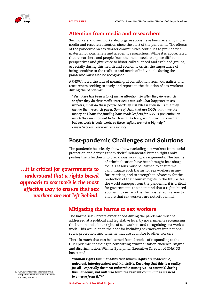

#### Attention from media and researchers

Sex workers and sex worker-led organisations have been receiving more media and research attention since the start of the pandemic. The effects of the pandemic on sex worker communities continues to provide rich material for journalists and academic researchers. While it is appreciated that researchers and people from the media seek to expose different perspectives and give voice to historically silenced and excluded groups, especially during this health and economic crisis, the importance of being sensitive to the realities and needs of individuals during the pandemic must also be recognised.

APNSW noted the lack of meaningful contribution from journalists and researchers seeking to study and report on the situation of sex workers during the pandemic.

*"Yes, there has been a lot of media attention. So after they do research or after they do their media interviews and ask what happened to sex workers, what do these people do? They just release their news and they just do their research paper. Some of them that are NGOs that have the money and have the funding have made leaflets for COVID prevention on which they mention not to touch with the body, not to touch this and that, but sex work is body work, so these leaflets are not a big help." APNSW (REGIONAL NETWORK: ASIA PACIFIC)*

#### Post-pandemic Challenges and Solutions

The pandemic has clearly shown how excluding sex workers from social protection and denying them their fundamental human rights only pushes them further into precarious working arrangements. The harms

*…it is critical for governments to understand that a rights-based approach to sex work is the most effective way to ensure that sex workers are not left behind.*

of criminalisation have been brought into sharp focus. Lessons must be learned to ensure we can mitigate such harms for sex workers in any future crises, and to strengthen advocacy for the protection of their human rights in the future. As the world emerges from the pandemic, it is critical for governments to understand that a rights-based approach to sex work is the most effective way to ensure that sex workers are not left behind.

#### Mitigating the harms to sex workers

The harms sex workers experienced during the pandemic must be addressed at a political and legislative level by governments recognising the human and labour rights of sex workers and recognising sex work as work. This would open the door for including sex workers into national social protection mechanisms that are available to other workers.

There is much that can be learned from decades of responding to the HIV epidemic, including in combatting criminalisation, violence, stigma and discrimination. Winnie Byanyima, Executive Director of UNAIDS has stated:

*"Human rights law mandates that human rights are inalienable, universal, interdependent and indivisible. Ensuring that this is a reality for all—especially the most vulnerable among us—is essential during this pandemic, but will also build the resilient communities we need to emerge from it." <sup>39</sup>*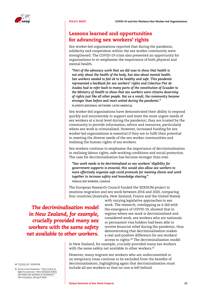

#### Lessons learned and opportunities for advancing sex workers' rights

Sex worker-led organisations reported that during the pandemic, solidarity and cooperation within the sex worker community were strengthened. The COVID-19 crisis also presented an opportunity for organisations to re-emphasise the importance of both physical and mental health.

*"Part of the advocacy work that we did was to show that health is not only about the health of the body, but also about mental health. Sex workers needed to feel ok to be healthy and safe. This pandemic represented a backlash for sex workers' rights and Colectivo Flor de Azalea had to refer back to many parts of the constitution of Ecuador to the Ministry of Health to show that sex workers were citizens deserving of rights just like all other people. But as a result, the community became stronger than before and more united during the pandemic." PLAPERTS (REGIONAL NETWORK: LATIN AMERICA)*

Sex worker-led organisations have demonstrated their ability to respond quickly and innovatively to support and meet the most urgent needs of sex workers at a local level during the pandemic; they are trusted by the community to provide information, advice and resources, particularly where sex work is criminalised. However, increased funding for sex worker-led organisations is essential if they are to fulfil their potential in meeting the diverse needs of the sex worker communities and realising the human rights of sex workers.

Sex workers continue to emphasise the importance of decriminalisation in realising labour rights, safe working conditions and social protection. The case for decriminalisation has become stronger than ever.

*"Sex work needs to be decriminalized so sex workers' eligibility for government supports is ensured, this would also allow sex workers to more effectively organize safe covid protocols for meeting clients and work together to increase safety and knowledge sharing." FEMALE SEX WORKER, CANADA*

The European Research Council funded the SEXHUM project to examine migration and sex work between 2016 and 2020, comparing four countries (Australia, New Zealand, France and the United States)

*The decriminalisation model in New Zealand, for example, crucially provided many sex workers with the same safety net available to other workers.*

with varying legislative approaches to sex work. The research, overlapping as it did with the emergence of COVID-19, showed that in regions where sex work is decriminalised and considered work, sex workers who are nationals or permanent visa holders had been able to receive financial relief during the pandemic, thus demonstrating that decriminalisation makes a real and positive difference for sex workers' access to rights.40 The decriminalisation model

in New Zealand, for example, crucially provided many sex workers with the same safety net available to other workers.<sup>41</sup>

However, many migrant sex workers who are undocumented or on temporary visas continue to be excluded from the benefits of decriminalisation, highlighting again that decriminalisation must include all sex workers so that no-one is left behind.

40 "[COVID-19,"](https://sexhum.org/covid-19/) SEXHUM.

41 Anna Louie Sussman, "['Don't have to](https://www.theguardian.com/world/2020/apr/28/dont-have-to-fight-for-pennies-new-zealand-safety-net-helps-sex-workers-in-lockdown)  [fight for pennies': New Zealand safety](https://www.theguardian.com/world/2020/apr/28/dont-have-to-fight-for-pennies-new-zealand-safety-net-helps-sex-workers-in-lockdown)  [net helps sex workers in lockdown,](https://www.theguardian.com/world/2020/apr/28/dont-have-to-fight-for-pennies-new-zealand-safety-net-helps-sex-workers-in-lockdown)" The Guardian, 28 April 2020.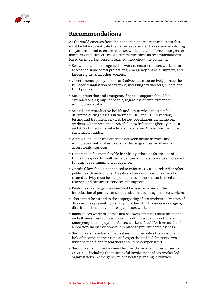

#### Recommendations

As the world emerges from the pandemic, there are crucial steps that must be taken to mitigate the harms experienced by sex workers during the pandemic and to ensure that sex workers are not forced into greater insecurity in future crises. We summarise these as recommendations based on important lessons learned throughout the pandemic.

- Sex work must be recognised as work to ensure that sex workers can access the same social protections, emergency financial support, and labour rights as all other workers.
- Governments, policymakers and advocates must actively pursue the full decriminalisation of sex work, including sex workers, clients and third parties.
- Social protection and emergency financial support should be extended to all groups of people, regardless of employment or immigration status.
- Sexual and reproductive health and HIV services must not be disrupted during crises. Furthermore, HIV and STI prevention, testing and treatment services for key populations including sex workers, who represented 65% of all new infections globally in 2020, and 93% of infections outside of sub-Saharan Africa, must be more sustainably funded.
- A firewall must be implemented between health services and immigration authorities to ensure that migrant sex workers can access health services.
- Donors must be more flexible in shifting priorities for the use of funds to respond to health emergencies and must prioritise increased funding for community-led responses.
- Criminal law should not be used to enforce COVID-19-related or other public health restrictions. Arrests and prosecutions for sex workrelated activity must be stopped, to ensure those most in need can be reached and can access services and support.
- Public heath emergencies must not be used as cover for the introduction of punitive and repressive measures against sex workers.
- There must be an end to the scapegoating of sex workers as 'vectors of disease' or as presenting risk to public health. This increases stigma, discrimination, and violence against sex workers.
- Raids on sex workers' homes and sex work premises must be stopped and all measures to protect public health must be proportionate. Emergency housing options for sex workers should be increased and a moratorium on evictions put in place to prevent homelessness.
- Sex workers have found themselves in vulnerable situations due to lack of income, so their time and expertise utilised for interviews with the media and researchers should be compensated.
- Sex worker communities must be directly involved in responses to COVID-19, including the meaningful involvement of sex worker-led organisations in emergency public health planning initiatives.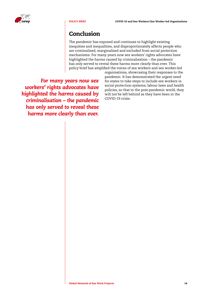

#### Conclusion

The pandemic has exposed and continues to highlight existing inequities and inequalities, and disproportionately affects people who are criminalised, marginalised and excluded from social protection mechanisms. For many years now sex workers' rights advocates have highlighted the harms caused by criminalisation – the pandemic has only served to reveal these harms more clearly than ever. This policy brief has amplified the voices of sex workers and sex worker-led

*For many years now sex workers' rights advocates have highlighted the harms caused by criminalisation – the pandemic has only served to reveal these harms more clearly than ever.*

organisations, showcasing their responses to the pandemic. It has demonstrated the urgent need for states to take steps to include sex workers in social protection systems, labour laws and health policies, so that in the post-pandemic world, they will not be left behind as they have been in the COVID-19 crisis.